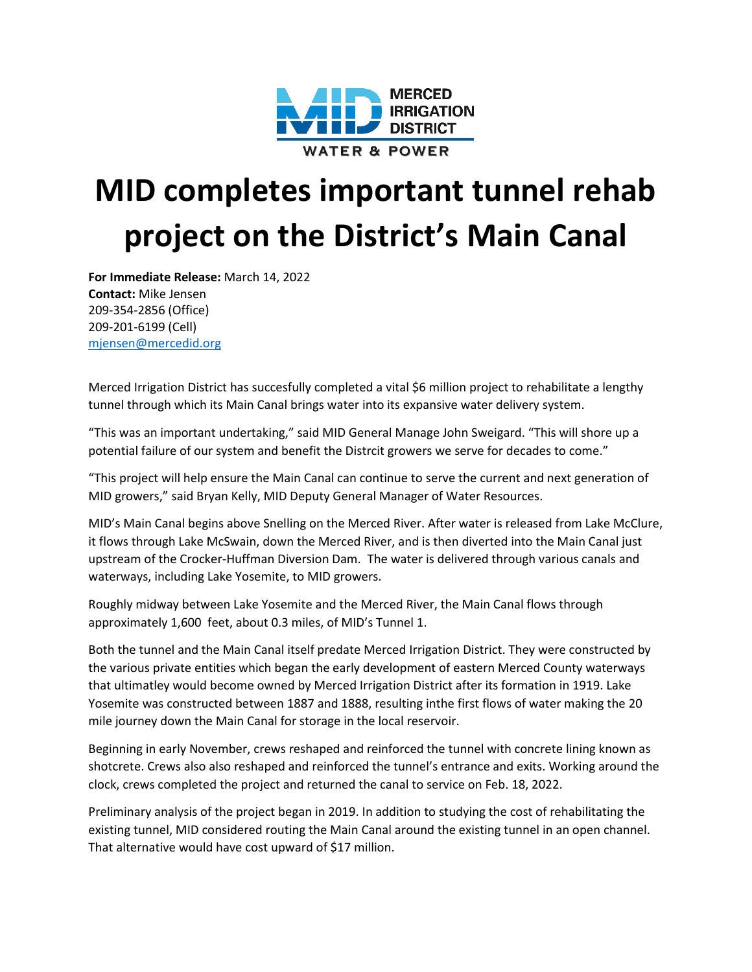

## **MID completes important tunnel rehab project on the District's Main Canal**

**For Immediate Release:** March 14, 2022 **Contact:** Mike Jensen 209-354-2856 (Office) 209-201-6199 (Cell) [mjensen@mercedid.org](mailto:mjensen@mercedid.org)

Merced Irrigation District has succesfully completed a vital \$6 million project to rehabilitate a lengthy tunnel through which its Main Canal brings water into its expansive water delivery system.

"This was an important undertaking," said MID General Manage John Sweigard. "This will shore up a potential failure of our system and benefit the Distrcit growers we serve for decades to come."

"This project will help ensure the Main Canal can continue to serve the current and next generation of MID growers," said Bryan Kelly, MID Deputy General Manager of Water Resources.

MID's Main Canal begins above Snelling on the Merced River. After water is released from Lake McClure, it flows through Lake McSwain, down the Merced River, and is then diverted into the Main Canal just upstream of the Crocker-Huffman Diversion Dam. The water is delivered through various canals and waterways, including Lake Yosemite, to MID growers.

Roughly midway between Lake Yosemite and the Merced River, the Main Canal flows through approximately 1,600 feet, about 0.3 miles, of MID's Tunnel 1.

Both the tunnel and the Main Canal itself predate Merced Irrigation District. They were constructed by the various private entities which began the early development of eastern Merced County waterways that ultimatley would become owned by Merced Irrigation District after its formation in 1919. Lake Yosemite was constructed between 1887 and 1888, resulting inthe first flows of water making the 20 mile journey down the Main Canal for storage in the local reservoir.

Beginning in early November, crews reshaped and reinforced the tunnel with concrete lining known as shotcrete. Crews also also reshaped and reinforced the tunnel's entrance and exits. Working around the clock, crews completed the project and returned the canal to service on Feb. 18, 2022.

Preliminary analysis of the project began in 2019. In addition to studying the cost of rehabilitating the existing tunnel, MID considered routing the Main Canal around the existing tunnel in an open channel. That alternative would have cost upward of \$17 million.